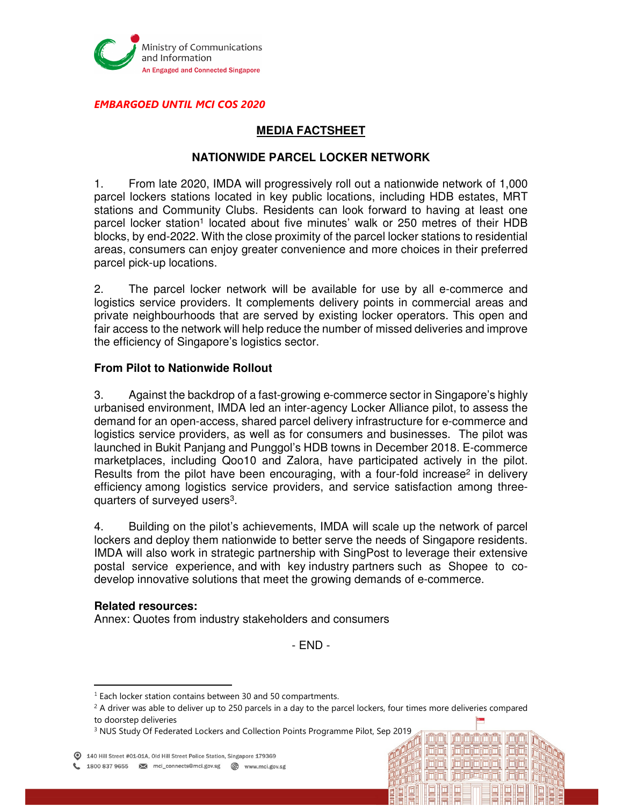

EMBARGOED UNTIL MCI COS 2020

# **MEDIA FACTSHEET**

## **NATIONWIDE PARCEL LOCKER NETWORK**

1. From late 2020, IMDA will progressively roll out a nationwide network of 1,000 parcel lockers stations located in key public locations, including HDB estates, MRT stations and Community Clubs. Residents can look forward to having at least one parcel locker station<sup>1</sup> located about five minutes' walk or 250 metres of their HDB blocks, by end-2022. With the close proximity of the parcel locker stations to residential areas, consumers can enjoy greater convenience and more choices in their preferred parcel pick-up locations.

2. The parcel locker network will be available for use by all e-commerce and logistics service providers. It complements delivery points in commercial areas and private neighbourhoods that are served by existing locker operators. This open and fair access to the network will help reduce the number of missed deliveries and improve the efficiency of Singapore's logistics sector.

#### **From Pilot to Nationwide Rollout**

3. Against the backdrop of a fast-growing e-commerce sector in Singapore's highly urbanised environment, IMDA led an inter-agency Locker Alliance pilot, to assess the demand for an open-access, shared parcel delivery infrastructure for e-commerce and logistics service providers, as well as for consumers and businesses. The pilot was launched in Bukit Panjang and Punggol's HDB towns in December 2018. E-commerce marketplaces, including Qoo10 and Zalora, have participated actively in the pilot. Results from the pilot have been encouraging, with a four-fold increase<sup>2</sup> in delivery efficiency among logistics service providers, and service satisfaction among threequarters of surveyed users<sup>3</sup>.

4. Building on the pilot's achievements, IMDA will scale up the network of parcel lockers and deploy them nationwide to better serve the needs of Singapore residents. IMDA will also work in strategic partnership with SingPost to leverage their extensive postal service experience, and with key industry partners such as Shopee to codevelop innovative solutions that meet the growing demands of e-commerce.

#### **Related resources:**

 $\overline{a}$ 

Annex: Quotes from industry stakeholders and consumers

- END -

احازلماز احازلوار ازاحازهاز

riminimin

**ininininin**i

<sup>3</sup> NUS Study Of Federated Lockers and Collection Points Programme Pilot, Sep 2019

140 Hill Street #01-01A, Old Hill Street Police Station, Singapore 179369

1800 837 9655 M mci\_connects@mci.gov.sg @ www.mci.gov.sg

 $1$  Each locker station contains between 30 and 50 compartments.

 $^2$  A driver was able to deliver up to 250 parcels in a day to the parcel lockers, four times more deliveries compared to doorstep deliveries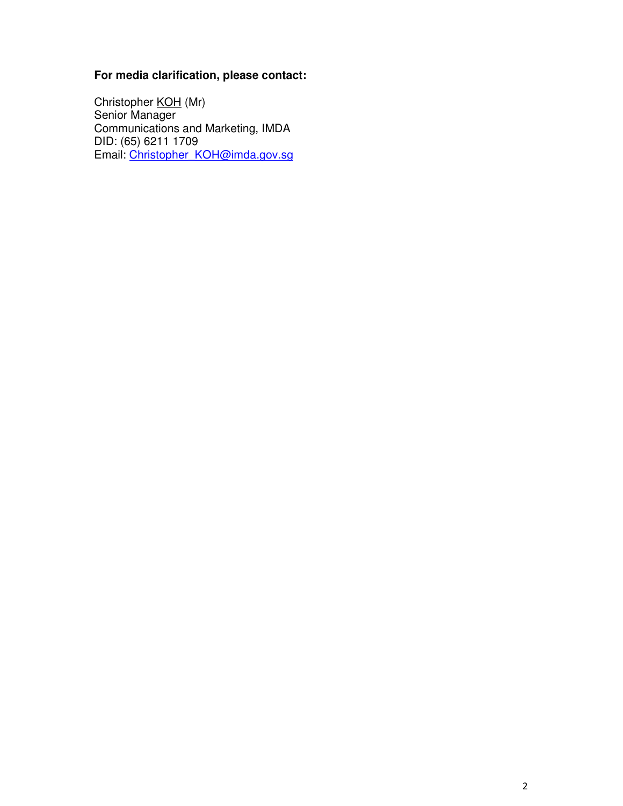# **For media clarification, please contact:**

Christopher <u>KOH</u> (Mr) Senior Manager Communications and Marketing, IMDA DID: (65) 6211 1709 Email: Christopher\_KOH@imda.gov.sg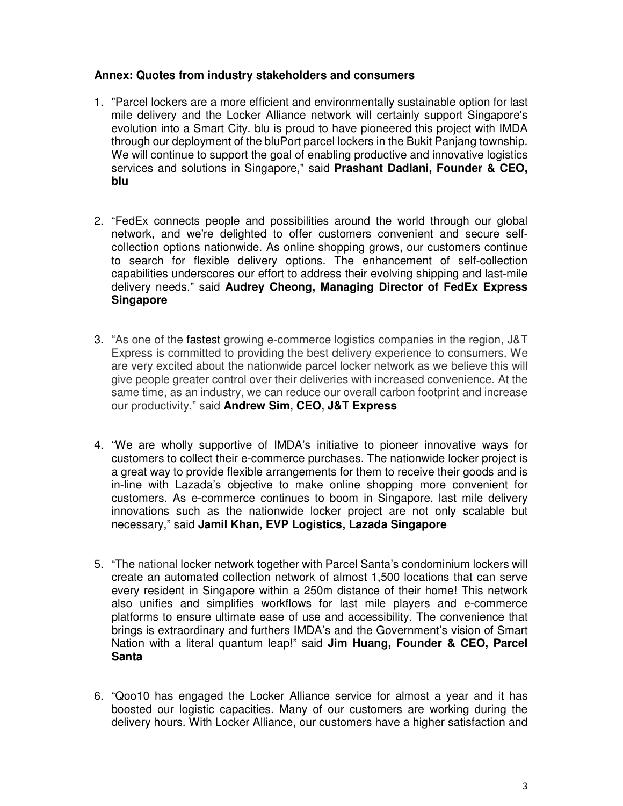#### **Annex: Quotes from industry stakeholders and consumers**

- 1. "Parcel lockers are a more efficient and environmentally sustainable option for last mile delivery and the Locker Alliance network will certainly support Singapore's evolution into a Smart City. blu is proud to have pioneered this project with IMDA through our deployment of the bluPort parcel lockers in the Bukit Panjang township. We will continue to support the goal of enabling productive and innovative logistics services and solutions in Singapore," said **Prashant Dadlani, Founder & CEO, blu**
- 2. "FedEx connects people and possibilities around the world through our global network, and we're delighted to offer customers convenient and secure selfcollection options nationwide. As online shopping grows, our customers continue to search for flexible delivery options. The enhancement of self-collection capabilities underscores our effort to address their evolving shipping and last-mile delivery needs," said **Audrey Cheong, Managing Director of FedEx Express Singapore**
- 3. "As one of the fastest growing e-commerce logistics companies in the region, J&T Express is committed to providing the best delivery experience to consumers. We are very excited about the nationwide parcel locker network as we believe this will give people greater control over their deliveries with increased convenience. At the same time, as an industry, we can reduce our overall carbon footprint and increase our productivity," said **Andrew Sim, CEO, J&T Express**
- 4. "We are wholly supportive of IMDA's initiative to pioneer innovative ways for customers to collect their e-commerce purchases. The nationwide locker project is a great way to provide flexible arrangements for them to receive their goods and is in-line with Lazada's objective to make online shopping more convenient for customers. As e-commerce continues to boom in Singapore, last mile delivery innovations such as the nationwide locker project are not only scalable but necessary," said **Jamil Khan, EVP Logistics, Lazada Singapore**
- 5. "The national locker network together with Parcel Santa's condominium lockers will create an automated collection network of almost 1,500 locations that can serve every resident in Singapore within a 250m distance of their home! This network also unifies and simplifies workflows for last mile players and e-commerce platforms to ensure ultimate ease of use and accessibility. The convenience that brings is extraordinary and furthers IMDA's and the Government's vision of Smart Nation with a literal quantum leap!" said **Jim Huang, Founder & CEO, Parcel Santa**
- 6. "Qoo10 has engaged the Locker Alliance service for almost a year and it has boosted our logistic capacities. Many of our customers are working during the delivery hours. With Locker Alliance, our customers have a higher satisfaction and